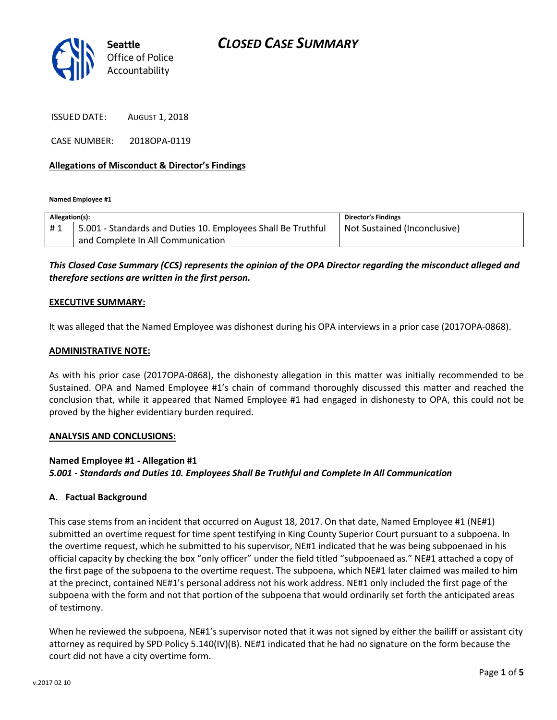

ISSUED DATE: AUGUST 1, 2018

CASE NUMBER: 2018OPA-0119

### Allegations of Misconduct & Director's Findings

Named Employee #1

| Allegation(s): |                                                              | <b>Director's Findings</b>   |
|----------------|--------------------------------------------------------------|------------------------------|
| #1             | 5.001 - Standards and Duties 10. Employees Shall Be Truthful | Not Sustained (Inconclusive) |
|                | and Complete In All Communication                            |                              |

## This Closed Case Summary (CCS) represents the opinion of the OPA Director regarding the misconduct alleged and therefore sections are written in the first person.

### EXECUTIVE SUMMARY:

It was alleged that the Named Employee was dishonest during his OPA interviews in a prior case (2017OPA-0868).

### ADMINISTRATIVE NOTE:

As with his prior case (2017OPA-0868), the dishonesty allegation in this matter was initially recommended to be Sustained. OPA and Named Employee #1's chain of command thoroughly discussed this matter and reached the conclusion that, while it appeared that Named Employee #1 had engaged in dishonesty to OPA, this could not be proved by the higher evidentiary burden required.

#### ANALYSIS AND CONCLUSIONS:

#### Named Employee #1 - Allegation #1

5.001 - Standards and Duties 10. Employees Shall Be Truthful and Complete In All Communication

#### A. Factual Background

This case stems from an incident that occurred on August 18, 2017. On that date, Named Employee #1 (NE#1) submitted an overtime request for time spent testifying in King County Superior Court pursuant to a subpoena. In the overtime request, which he submitted to his supervisor, NE#1 indicated that he was being subpoenaed in his official capacity by checking the box "only officer" under the field titled "subpoenaed as." NE#1 attached a copy of the first page of the subpoena to the overtime request. The subpoena, which NE#1 later claimed was mailed to him at the precinct, contained NE#1's personal address not his work address. NE#1 only included the first page of the subpoena with the form and not that portion of the subpoena that would ordinarily set forth the anticipated areas of testimony.

When he reviewed the subpoena, NE#1's supervisor noted that it was not signed by either the bailiff or assistant city attorney as required by SPD Policy 5.140(IV)(B). NE#1 indicated that he had no signature on the form because the court did not have a city overtime form.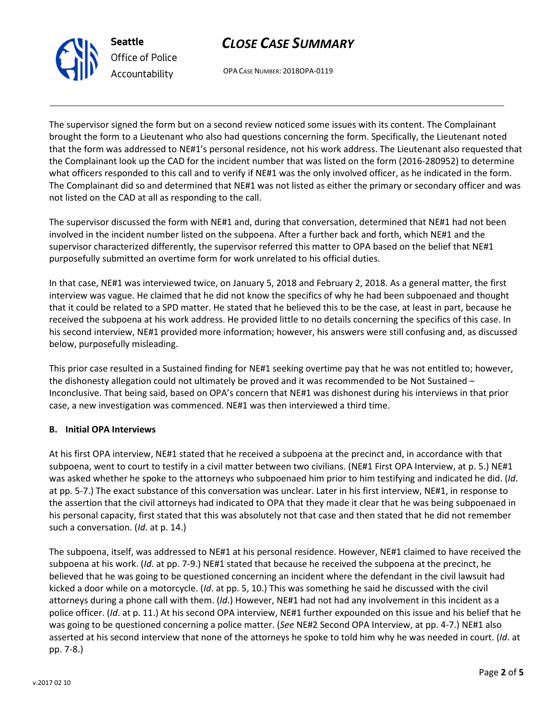

# CLOSE CASE SUMMARY

OPA CASE NUMBER: 2018OPA-0119

The supervisor signed the form but on a second review noticed some issues with its content. The Complainant brought the form to a Lieutenant who also had questions concerning the form. Specifically, the Lieutenant noted that the form was addressed to NE#1's personal residence, not his work address. The Lieutenant also requested that the Complainant look up the CAD for the incident number that was listed on the form (2016-280952) to determine what officers responded to this call and to verify if NE#1 was the only involved officer, as he indicated in the form. The Complainant did so and determined that NE#1 was not listed as either the primary or secondary officer and was not listed on the CAD at all as responding to the call.

The supervisor discussed the form with NE#1 and, during that conversation, determined that NE#1 had not been involved in the incident number listed on the subpoena. After a further back and forth, which NE#1 and the supervisor characterized differently, the supervisor referred this matter to OPA based on the belief that NE#1 purposefully submitted an overtime form for work unrelated to his official duties.

In that case, NE#1 was interviewed twice, on January 5, 2018 and February 2, 2018. As a general matter, the first interview was vague. He claimed that he did not know the specifics of why he had been subpoenaed and thought that it could be related to a SPD matter. He stated that he believed this to be the case, at least in part, because he received the subpoena at his work address. He provided little to no details concerning the specifics of this case. In his second interview, NE#1 provided more information; however, his answers were still confusing and, as discussed below, purposefully misleading.

This prior case resulted in a Sustained finding for NE#1 seeking overtime pay that he was not entitled to; however, the dishonesty allegation could not ultimately be proved and it was recommended to be Not Sustained – Inconclusive. That being said, based on OPA's concern that NE#1 was dishonest during his interviews in that prior case, a new investigation was commenced. NE#1 was then interviewed a third time.

## B. Initial OPA Interviews

At his first OPA interview, NE#1 stated that he received a subpoena at the precinct and, in accordance with that subpoena, went to court to testify in a civil matter between two civilians. (NE#1 First OPA Interview, at p. 5.) NE#1 was asked whether he spoke to the attorneys who subpoenaed him prior to him testifying and indicated he did. (Id. at pp. 5-7.) The exact substance of this conversation was unclear. Later in his first interview, NE#1, in response to the assertion that the civil attorneys had indicated to OPA that they made it clear that he was being subpoenaed in his personal capacity, first stated that this was absolutely not that case and then stated that he did not remember such a conversation. (Id. at p. 14.)

The subpoena, itself, was addressed to NE#1 at his personal residence. However, NE#1 claimed to have received the subpoena at his work. (Id. at pp. 7-9.) NE#1 stated that because he received the subpoena at the precinct, he believed that he was going to be questioned concerning an incident where the defendant in the civil lawsuit had kicked a door while on a motorcycle. (Id. at pp. 5, 10.) This was something he said he discussed with the civil attorneys during a phone call with them. (Id.) However, NE#1 had not had any involvement in this incident as a police officer. (Id. at p. 11.) At his second OPA interview, NE#1 further expounded on this issue and his belief that he was going to be questioned concerning a police matter. (See NE#2 Second OPA Interview, at pp. 4-7.) NE#1 also asserted at his second interview that none of the attorneys he spoke to told him why he was needed in court. (Id. at pp. 7-8.)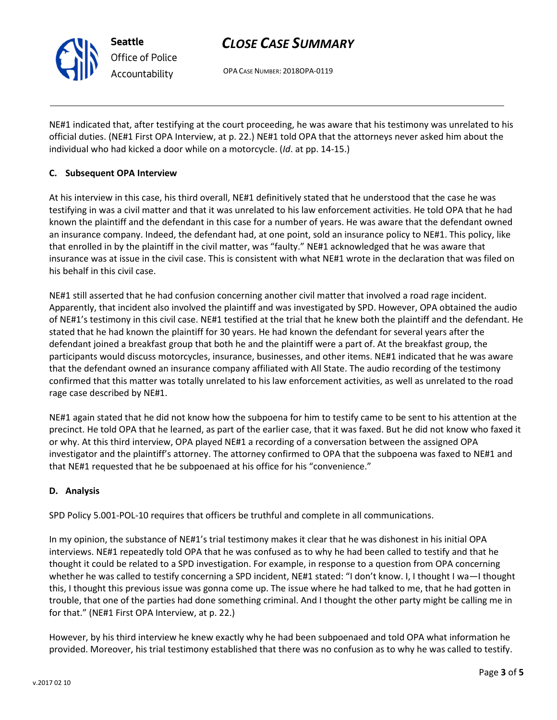# CLOSE CASE SUMMARY

OPA CASE NUMBER: 2018OPA-0119

NE#1 indicated that, after testifying at the court proceeding, he was aware that his testimony was unrelated to his official duties. (NE#1 First OPA Interview, at p. 22.) NE#1 told OPA that the attorneys never asked him about the individual who had kicked a door while on a motorcycle. (Id. at pp. 14-15.)

## C. Subsequent OPA Interview

Seattle

Office of Police Accountability

At his interview in this case, his third overall, NE#1 definitively stated that he understood that the case he was testifying in was a civil matter and that it was unrelated to his law enforcement activities. He told OPA that he had known the plaintiff and the defendant in this case for a number of years. He was aware that the defendant owned an insurance company. Indeed, the defendant had, at one point, sold an insurance policy to NE#1. This policy, like that enrolled in by the plaintiff in the civil matter, was "faulty." NE#1 acknowledged that he was aware that insurance was at issue in the civil case. This is consistent with what NE#1 wrote in the declaration that was filed on his behalf in this civil case.

NE#1 still asserted that he had confusion concerning another civil matter that involved a road rage incident. Apparently, that incident also involved the plaintiff and was investigated by SPD. However, OPA obtained the audio of NE#1's testimony in this civil case. NE#1 testified at the trial that he knew both the plaintiff and the defendant. He stated that he had known the plaintiff for 30 years. He had known the defendant for several years after the defendant joined a breakfast group that both he and the plaintiff were a part of. At the breakfast group, the participants would discuss motorcycles, insurance, businesses, and other items. NE#1 indicated that he was aware that the defendant owned an insurance company affiliated with All State. The audio recording of the testimony confirmed that this matter was totally unrelated to his law enforcement activities, as well as unrelated to the road rage case described by NE#1.

NE#1 again stated that he did not know how the subpoena for him to testify came to be sent to his attention at the precinct. He told OPA that he learned, as part of the earlier case, that it was faxed. But he did not know who faxed it or why. At this third interview, OPA played NE#1 a recording of a conversation between the assigned OPA investigator and the plaintiff's attorney. The attorney confirmed to OPA that the subpoena was faxed to NE#1 and that NE#1 requested that he be subpoenaed at his office for his "convenience."

### D. Analysis

SPD Policy 5.001-POL-10 requires that officers be truthful and complete in all communications.

In my opinion, the substance of NE#1's trial testimony makes it clear that he was dishonest in his initial OPA interviews. NE#1 repeatedly told OPA that he was confused as to why he had been called to testify and that he thought it could be related to a SPD investigation. For example, in response to a question from OPA concerning whether he was called to testify concerning a SPD incident, NE#1 stated: "I don't know. I, I thought I wa—I thought this, I thought this previous issue was gonna come up. The issue where he had talked to me, that he had gotten in trouble, that one of the parties had done something criminal. And I thought the other party might be calling me in for that." (NE#1 First OPA Interview, at p. 22.)

However, by his third interview he knew exactly why he had been subpoenaed and told OPA what information he provided. Moreover, his trial testimony established that there was no confusion as to why he was called to testify.

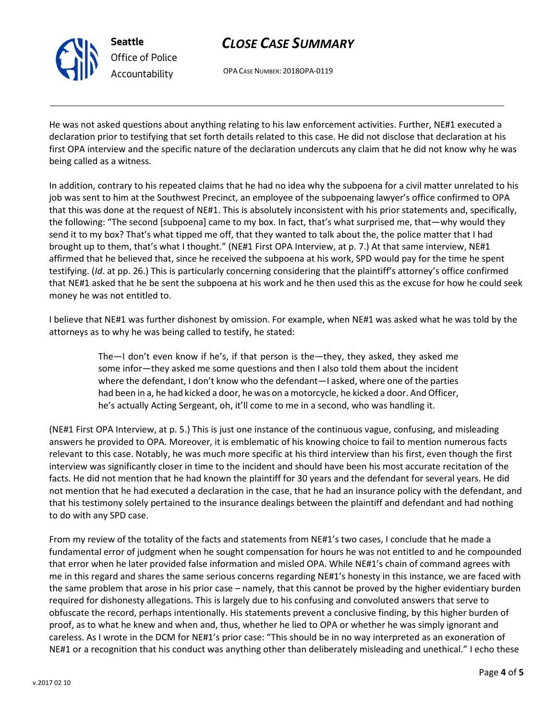

Seattle Office of Police Accountability

# CLOSE CASE SUMMARY

OPA CASE NUMBER: 2018OPA-0119

He was not asked questions about anything relating to his law enforcement activities. Further, NE#1 executed a declaration prior to testifying that set forth details related to this case. He did not disclose that declaration at his first OPA interview and the specific nature of the declaration undercuts any claim that he did not know why he was being called as a witness.

In addition, contrary to his repeated claims that he had no idea why the subpoena for a civil matter unrelated to his job was sent to him at the Southwest Precinct, an employee of the subpoenaing lawyer's office confirmed to OPA that this was done at the request of NE#1. This is absolutely inconsistent with his prior statements and, specifically, the following: "The second [subpoena] came to my box. In fact, that's what surprised me, that—why would they send it to my box? That's what tipped me off, that they wanted to talk about the, the police matter that I had brought up to them, that's what I thought." (NE#1 First OPA Interview, at p. 7.) At that same interview, NE#1 affirmed that he believed that, since he received the subpoena at his work, SPD would pay for the time he spent testifying. (Id. at pp. 26.) This is particularly concerning considering that the plaintiff's attorney's office confirmed that NE#1 asked that he be sent the subpoena at his work and he then used this as the excuse for how he could seek money he was not entitled to.

I believe that NE#1 was further dishonest by omission. For example, when NE#1 was asked what he was told by the attorneys as to why he was being called to testify, he stated:

> The—I don't even know if he's, if that person is the—they, they asked, they asked me some infor—they asked me some questions and then I also told them about the incident where the defendant, I don't know who the defendant—I asked, where one of the parties had been in a, he had kicked a door, he was on a motorcycle, he kicked a door. And Officer, he's actually Acting Sergeant, oh, it'll come to me in a second, who was handling it.

(NE#1 First OPA Interview, at p. 5.) This is just one instance of the continuous vague, confusing, and misleading answers he provided to OPA. Moreover, it is emblematic of his knowing choice to fail to mention numerous facts relevant to this case. Notably, he was much more specific at his third interview than his first, even though the first interview was significantly closer in time to the incident and should have been his most accurate recitation of the facts. He did not mention that he had known the plaintiff for 30 years and the defendant for several years. He did not mention that he had executed a declaration in the case, that he had an insurance policy with the defendant, and that his testimony solely pertained to the insurance dealings between the plaintiff and defendant and had nothing to do with any SPD case.

From my review of the totality of the facts and statements from NE#1's two cases, I conclude that he made a fundamental error of judgment when he sought compensation for hours he was not entitled to and he compounded that error when he later provided false information and misled OPA. While NE#1's chain of command agrees with me in this regard and shares the same serious concerns regarding NE#1's honesty in this instance, we are faced with the same problem that arose in his prior case – namely, that this cannot be proved by the higher evidentiary burden required for dishonesty allegations. This is largely due to his confusing and convoluted answers that serve to obfuscate the record, perhaps intentionally. His statements prevent a conclusive finding, by this higher burden of proof, as to what he knew and when and, thus, whether he lied to OPA or whether he was simply ignorant and careless. As I wrote in the DCM for NE#1's prior case: "This should be in no way interpreted as an exoneration of NE#1 or a recognition that his conduct was anything other than deliberately misleading and unethical." I echo these